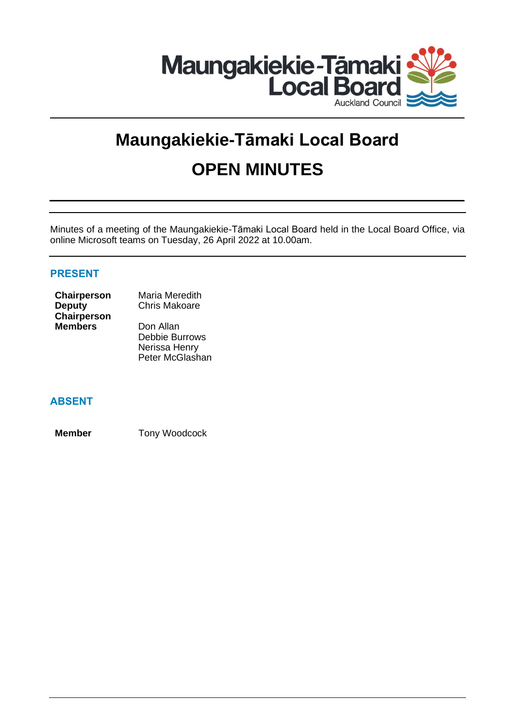

# **Maungakiekie-Tāmaki Local Board OPEN MINUTES**

Minutes of a meeting of the Maungakiekie-Tāmaki Local Board held in the Local Board Office, via online Microsoft teams on Tuesday, 26 April 2022 at 10.00am.

## **PRESENT**

| <b>Chairperson</b> | Maria Meredith       |
|--------------------|----------------------|
| Deputy             | <b>Chris Makoare</b> |
| <b>Chairperson</b> |                      |
| <b>Members</b>     | Don Allan            |
|                    | $D_0$ bhia Durrou    |

Debbie Burrows Nerissa Henry Peter McGlashan

## **ABSENT**

**Member** Tony Woodcock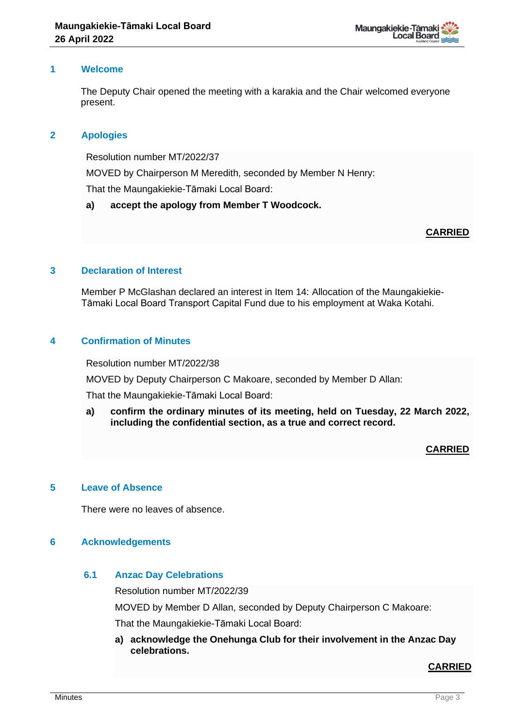

## **1 Welcome**

The Deputy Chair opened the meeting with a karakia and the Chair welcomed everyone present.

## **2 Apologies**

Resolution number MT/2022/37

MOVED by Chairperson M Meredith, seconded by Member N Henry:

That the Maungakiekie-Tāmaki Local Board:

#### **a) accept the apology from Member T Woodcock.**

## **CARRIED**

## **3 Declaration of Interest**

Member P McGlashan declared an interest in Item 14: Allocation of the Maungakiekie-Tāmaki Local Board Transport Capital Fund due to his employment at Waka Kotahi.

## **4 Confirmation of Minutes**

Resolution number MT/2022/38

MOVED by Deputy Chairperson C Makoare, seconded by Member D Allan:

That the Maungakiekie-Tāmaki Local Board:

**a) confirm the ordinary minutes of its meeting, held on Tuesday, 22 March 2022, including the confidential section, as a true and correct record.**

## **CARRIED**

## **5 Leave of Absence**

There were no leaves of absence.

#### **6 Acknowledgements**

## **6.1 Anzac Day Celebrations**

Resolution number MT/2022/39

MOVED by Member D Allan, seconded by Deputy Chairperson C Makoare:

That the Maungakiekie-Tāmaki Local Board:

**a) acknowledge the Onehunga Club for their involvement in the Anzac Day celebrations.**

## **CARRIED**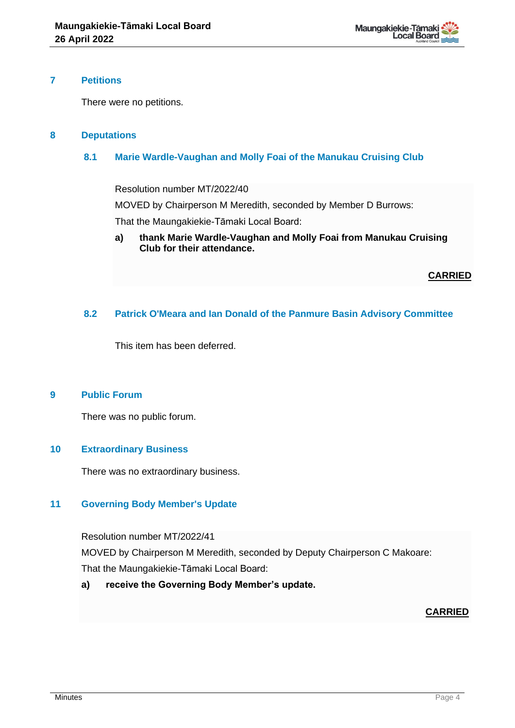

## **7 Petitions**

There were no petitions.

## **8 Deputations**

## **8.1 Marie Wardle-Vaughan and Molly Foai of the Manukau Cruising Club**

Resolution number MT/2022/40

MOVED by Chairperson M Meredith, seconded by Member D Burrows:

That the Maungakiekie-Tāmaki Local Board:

**a) thank Marie Wardle-Vaughan and Molly Foai from Manukau Cruising Club for their attendance.**

**CARRIED**

## **8.2 Patrick O'Meara and Ian Donald of the Panmure Basin Advisory Committee**

This item has been deferred.

## **9 Public Forum**

There was no public forum.

## **10 Extraordinary Business**

There was no extraordinary business.

## **11 Governing Body Member's Update**

Resolution number MT/2022/41

MOVED by Chairperson M Meredith, seconded by Deputy Chairperson C Makoare: That the Maungakiekie-Tāmaki Local Board:

**a) receive the Governing Body Member's update.**

## **CARRIED**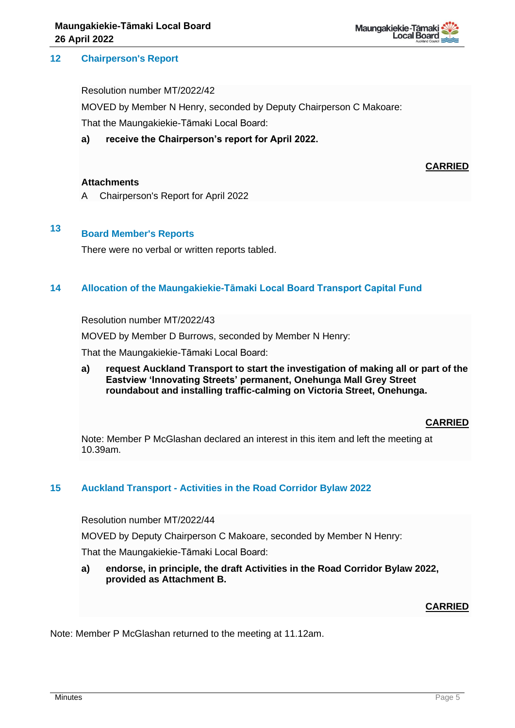## **12 Chairperson's Report**

Resolution number MT/2022/42

MOVED by Member N Henry, seconded by Deputy Chairperson C Makoare:

That the Maungakiekie-Tāmaki Local Board:

**a) receive the Chairperson's report for April 2022.**

## **CARRIED**

#### **Attachments**

A Chairperson's Report for April 2022

## **<sup>13</sup> Board Member's Reports**

There were no verbal or written reports tabled.

## **14 Allocation of the Maungakiekie-Tāmaki Local Board Transport Capital Fund**

Resolution number MT/2022/43

MOVED by Member D Burrows, seconded by Member N Henry:

That the Maungakiekie-Tāmaki Local Board:

**a) request Auckland Transport to start the investigation of making all or part of the Eastview 'Innovating Streets' permanent, Onehunga Mall Grey Street roundabout and installing traffic-calming on Victoria Street, Onehunga.**

## **CARRIED**

Note: Member P McGlashan declared an interest in this item and left the meeting at 10.39am.

#### **15 Auckland Transport - Activities in the Road Corridor Bylaw 2022**

Resolution number MT/2022/44

MOVED by Deputy Chairperson C Makoare, seconded by Member N Henry:

That the Maungakiekie-Tāmaki Local Board:

**a) endorse, in principle, the draft Activities in the Road Corridor Bylaw 2022, provided as Attachment B.**

#### **CARRIED**

Note: Member P McGlashan returned to the meeting at 11.12am.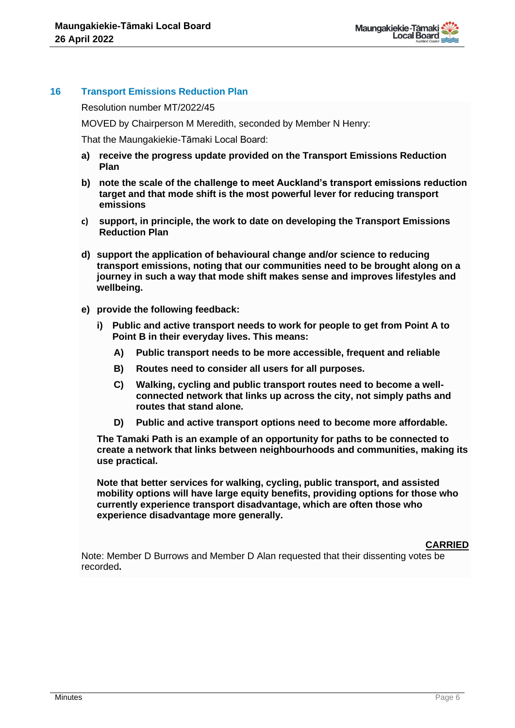

## **16 Transport Emissions Reduction Plan**

Resolution number MT/2022/45

MOVED by Chairperson M Meredith, seconded by Member N Henry:

That the Maungakiekie-Tāmaki Local Board:

- **a) receive the progress update provided on the Transport Emissions Reduction Plan**
- **b) note the scale of the challenge to meet Auckland's transport emissions reduction target and that mode shift is the most powerful lever for reducing transport emissions**
- **c) support, in principle, the work to date on developing the Transport Emissions Reduction Plan**
- **d) support the application of behavioural change and/or science to reducing transport emissions, noting that our communities need to be brought along on a journey in such a way that mode shift makes sense and improves lifestyles and wellbeing.**
- **e) provide the following feedback:**
	- **i) Public and active transport needs to work for people to get from Point A to Point B in their everyday lives. This means:** 
		- **A) Public transport needs to be more accessible, frequent and reliable**
		- **B) Routes need to consider all users for all purposes.**
		- **C) Walking, cycling and public transport routes need to become a wellconnected network that links up across the city, not simply paths and routes that stand alone.**
		- **D) Public and active transport options need to become more affordable.**

**The Tamaki Path is an example of an opportunity for paths to be connected to create a network that links between neighbourhoods and communities, making its use practical.** 

**Note that better services for walking, cycling, public transport, and assisted mobility options will have large equity benefits, providing options for those who currently experience transport disadvantage, which are often those who experience disadvantage more generally.**

#### **CARRIED**

Note: Member D Burrows and Member D Alan requested that their dissenting votes be recorded**.**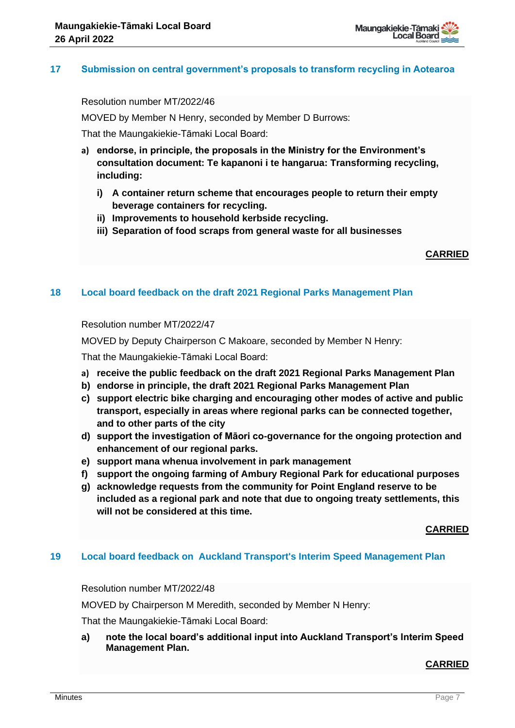

## **17 Submission on central government's proposals to transform recycling in Aotearoa**

Resolution number MT/2022/46

MOVED by Member N Henry, seconded by Member D Burrows:

That the Maungakiekie-Tāmaki Local Board:

- **a) endorse, in principle, the proposals in the Ministry for the Environment's consultation document: Te kapanoni i te hangarua: Transforming recycling, including:** 
	- **i) A container return scheme that encourages people to return their empty beverage containers for recycling.**
	- **ii) Improvements to household kerbside recycling.**
	- **iii) Separation of food scraps from general waste for all businesses**

**CARRIED**

## **18 Local board feedback on the draft 2021 Regional Parks Management Plan**

Resolution number MT/2022/47

MOVED by Deputy Chairperson C Makoare, seconded by Member N Henry:

That the Maungakiekie-Tāmaki Local Board:

- **a) receive the public feedback on the draft 2021 Regional Parks Management Plan**
- **b) endorse in principle, the draft 2021 Regional Parks Management Plan**
- **c) support electric bike charging and encouraging other modes of active and public transport, especially in areas where regional parks can be connected together, and to other parts of the city**
- **d) support the investigation of Māori co-governance for the ongoing protection and enhancement of our regional parks.**
- **e) support mana whenua involvement in park management**
- **f) support the ongoing farming of Ambury Regional Park for educational purposes**
- **g) acknowledge requests from the community for Point England reserve to be included as a regional park and note that due to ongoing treaty settlements, this will not be considered at this time.**

**CARRIED**

## **19 Local board feedback on Auckland Transport's Interim Speed Management Plan**

Resolution number MT/2022/48

MOVED by Chairperson M Meredith, seconded by Member N Henry:

That the Maungakiekie-Tāmaki Local Board:

**a) note the local board's additional input into Auckland Transport's Interim Speed Management Plan.**

#### **CARRIED**